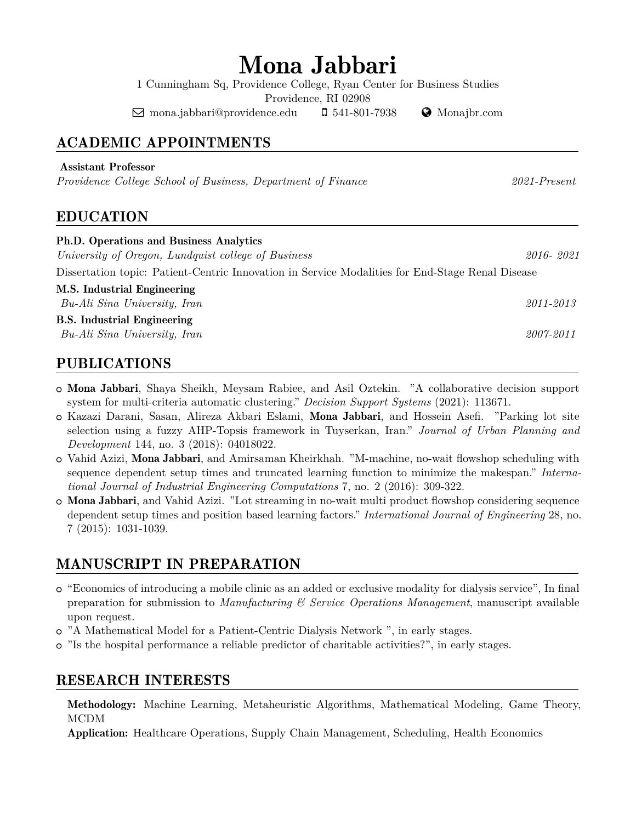# Mona Jabbari

1 Cunningham Sq, Providence College, Ryan Center for Business Studies

Providence, RI 02908

 $\boxtimes$  [mona.jabbari@providence.edu](mailto:mona.jabbari@providence.edu)  $\Box$  541-801-7938  $\Box$  [Monajbr.com](http://monajbr.com)

# ACADEMIC APPOINTMENTS

#### Assistant Professor

*Providence College School of Business, Department of Finance 2021-Present*

# EDUCATION

| <b>Ph.D.</b> Operations and Business Analytics                                                   |           |
|--------------------------------------------------------------------------------------------------|-----------|
| University of Oregon, Lundquist college of Business                                              | 2016-2021 |
| Dissertation topic: Patient-Centric Innovation in Service Modalities for End-Stage Renal Disease |           |
| M.S. Industrial Engineering                                                                      |           |
| Bu-Ali Sina University, Iran                                                                     | 2011-2013 |
| <b>B.S.</b> Industrial Engineering                                                               |           |
| Bu-Ali Sina University, Iran                                                                     | 2007-2011 |
|                                                                                                  |           |

# PUBLICATIONS

- ○␣ Mona Jabbari, Shaya Sheikh, Meysam Rabiee, and Asil Oztekin. "A collaborative decision support system for multi-criteria automatic clustering." *Decision Support Systems* (2021): 113671.
- ○␣ Kazazi Darani, Sasan, Alireza Akbari Eslami, Mona Jabbari, and Hossein Asefi. "Parking lot site selection using a fuzzy AHP-Topsis framework in Tuyserkan, Iran." *Journal of Urban Planning and Development* 144, no. 3 (2018): 04018022.
- ○␣ Vahid Azizi, Mona Jabbari, and Amirsaman Kheirkhah. "M-machine, no-wait flowshop scheduling with sequence dependent setup times and truncated learning function to minimize the makespan." *International Journal of Industrial Engineering Computations* 7, no. 2 (2016): 309-322.
- ○␣ Mona Jabbari, and Vahid Azizi. "Lot streaming in no-wait multi product flowshop considering sequence dependent setup times and position based learning factors." *International Journal of Engineering* 28, no. 7 (2015): 1031-1039.

# MANUSCRIPT IN PREPARATION

- ○␣ "Economics of introducing a mobile clinic as an added or exclusive modality for dialysis service", In final preparation for submission to *Manufacturing & Service Operations Management*, manuscript available upon request.
- ○␣ "A Mathematical Model for a Patient-Centric Dialysis Network ", in early stages.
- ○␣ "Is the hospital performance a reliable predictor of charitable activities?", in early stages.

# RESEARCH INTERESTS

Methodology: Machine Learning, Metaheuristic Algorithms, Mathematical Modeling, Game Theory, MCDM

Application: Healthcare Operations, Supply Chain Management, Scheduling, Health Economics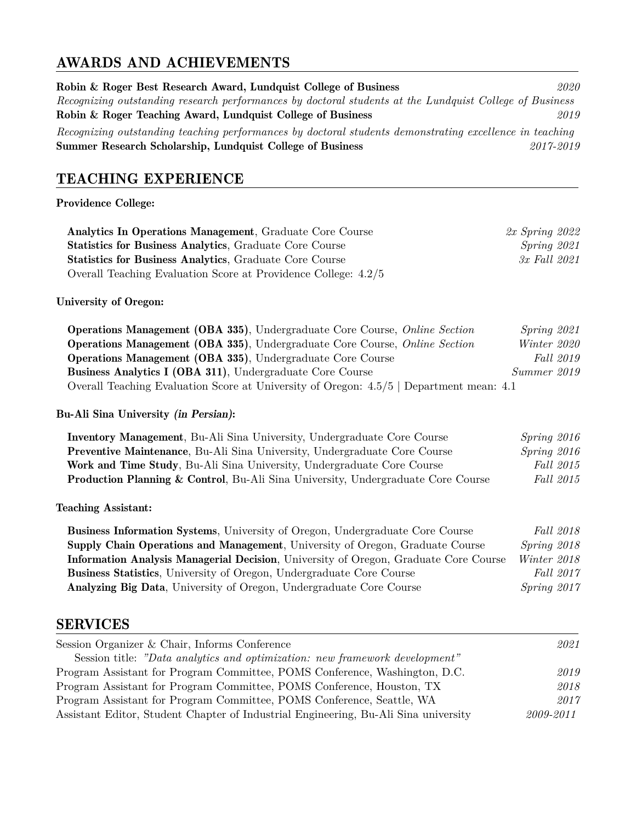# AWARDS AND ACHIEVEMENTS

| AWARDO AND ACHID VERENTO                                                                                                                                              |                |
|-----------------------------------------------------------------------------------------------------------------------------------------------------------------------|----------------|
| Robin & Roger Best Research Award, Lundquist College of Business                                                                                                      | 2020           |
| Recognizing outstanding research performances by doctoral students at the Lundquist College of Business                                                               |                |
| Robin & Roger Teaching Award, Lundquist College of Business                                                                                                           | $\it 2019$     |
| Recognizing outstanding teaching performances by doctoral students demonstrating excellence in teaching<br>Summer Research Scholarship, Lundquist College of Business | 2017-2019      |
| TEACHING EXPERIENCE                                                                                                                                                   |                |
| Providence College:                                                                                                                                                   |                |
| Analytics In Operations Management, Graduate Core Course                                                                                                              | 2x Spring 2022 |
| <b>Statistics for Business Analytics, Graduate Core Course</b>                                                                                                        | Spring 2021    |
| <b>Statistics for Business Analytics, Graduate Core Course</b>                                                                                                        | 3x Fall 2021   |
| Overall Teaching Evaluation Score at Providence College: 4.2/5                                                                                                        |                |
| <b>University of Oregon:</b>                                                                                                                                          |                |
| <b>Operations Management (OBA 335)</b> , Undergraduate Core Course, Online Section                                                                                    | Spring 2021    |
| Operations Management (OBA 335), Undergraduate Core Course, Online Section                                                                                            | Winter 2020    |
| Operations Management (OBA 335), Undergraduate Core Course                                                                                                            | Fall 2019      |
| Business Analytics I (OBA 311), Undergraduate Core Course                                                                                                             | Summer 2019    |
| Overall Teaching Evaluation Score at University of Oregon: 4.5/5   Department mean: 4.1                                                                               |                |
| Bu-Ali Sina University (in Persian):                                                                                                                                  |                |
| Inventory Management, Bu-Ali Sina University, Undergraduate Core Course                                                                                               | Spring 2016    |
| Preventive Maintenance, Bu-Ali Sina University, Undergraduate Core Course                                                                                             | Spring 2016    |
| Work and Time Study, Bu-Ali Sina University, Undergraduate Core Course                                                                                                | Fall 2015      |
| Production Planning & Control, Bu-Ali Sina University, Undergraduate Core Course                                                                                      | Fall 2015      |
| <b>Teaching Assistant:</b>                                                                                                                                            |                |
| Business Information Systems, University of Oregon, Undergraduate Core Course                                                                                         | Fall 2018      |
| Supply Chain Operations and Management, University of Oregon, Graduate Course                                                                                         | Spring 2018    |
| Information Analysis Managerial Decision, University of Oregon, Graduate Core Course                                                                                  | Winter 2018    |
| <b>Business Statistics</b> , University of Oregon, Undergraduate Core Course                                                                                          | Fall 2017      |
| Analyzing Big Data, University of Oregon, Undergraduate Core Course                                                                                                   | $Spring\ 2017$ |
| <b>SERVICES</b>                                                                                                                                                       |                |
| Session Organizer $& Chair, Informs$ Conference                                                                                                                       | 2021           |
| Session title: "Data analytics and optimization: new framework development"                                                                                           |                |
| Program Assistant for Program Committee POMS Conference Washington D.C.                                                                                               | 2019           |

Program Assistant for Program Committee, POMS Conference, Washington, D.C. *2019* Program Assistant for Program Committee, POMS Conference, Houston, TX *2018* Program Assistant for Program Committee, POMS Conference, Seattle, WA *2017* Assistant Editor, Student Chapter of Industrial Engineering, Bu-Ali Sina university *2009-2011*